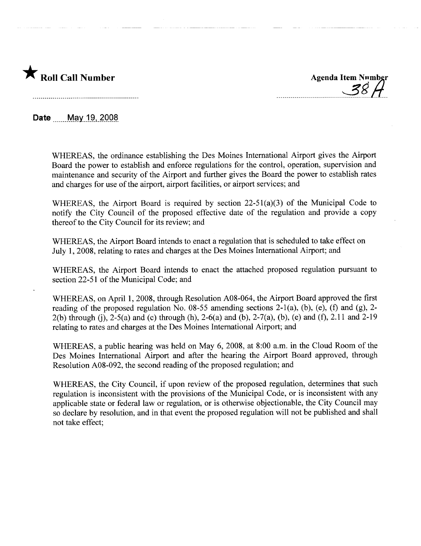

 $\sim$  11. &

**Date** May 19, 2008

WHEREAS, the ordinance establishing the Des Moines International Airport gives the Airport Board the power to establish and enforce regulations for the control, operation, supervision and maintenance and security of the Airport and further gives the Board the power to establish rates and charges for use of the airport, airport facilities, or airport services; and

WHEREAS, the Airport Board is required by section 22-51(a)(3) of the Municipal Code to notify the City Council of the proposed effective date of the regulation and provide a copy thereof to the City Council for its review; and

WHEREAS, the Airport Board intends to enact a regulation that is scheduled to take effect on July 1, 2008, relating to rates and charges at the Des Moines International Airport; and

WHEREAS, the Airport Board intends to enact the attached proposed regulation pursuant to section 22-51 of the Municipal Code; and

WHEREAS, on April 1, 2008, through Resolution A08-064, the Airport Board approved the first reading of the proposed regulation No. 08-55 amending sections 2-1(a), (b), (e), (f) and (g), 2- 2(b) through (j),  $2-5(a)$  and (c) through (h),  $2-6(a)$  and (b),  $2-7(a)$ , (b), (e) and (f),  $2.11$  and  $2-19$ relating to rates and charges at the Des Moines International Airport; and

WHEREAS, a public hearing was held on May 6, 2008, at 8:00 a.m. in the Cloud Room of the Des Moines International Airport and after the hearing the Airport Board approved, through Resolution A08-092, the second reading of the proposed regulation; and

WHEREAS, the City Council, if upon review of the proposed regulation, determines that such regulation is inconsistent with the provisions of the Municipal Code, or is inconsistent with any applicable state or federal law or regulation, or is otherwise objectionable, the City Council may so declare by resolution, and in that event the proposed regulation will not be published and shall not take effect;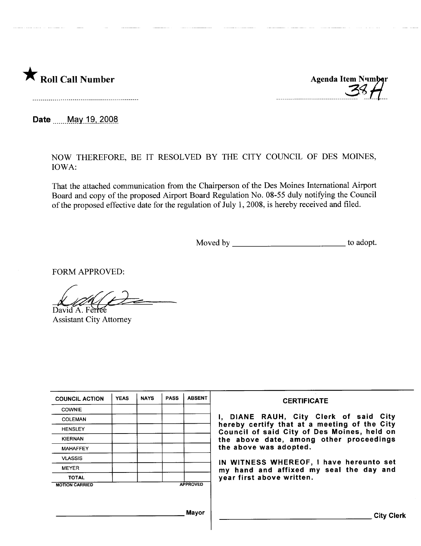

m \_ m.\_mn 00 00 nn 00 00 00 00 00 mS~-t1m

Date \_\_\_\_\_ May 19, 2008

NOW THEREFORE, BE IT RESOLVED BY THE CITY COUNCIL OF DES MOINES, IOWA:

That the attached communication from the Chairperson of the Des Moines International Airport Board and copy of the proposed Airport Board Regulation No. 08-55 duly notifying the Council of the proposed effective date for the regulation of July 1,2008, is hereby received and filed.

Moved by to adopt.

FORM APPROVED:

David A. Ferree Assistant City Attorney

| <b>COUNCIL ACTION</b> | <b>YEAS</b> | <b>NAYS</b> | <b>PASS</b> | <b>ABSENT</b>   | <b>CERTIFICATE</b>                                                                          |
|-----------------------|-------------|-------------|-------------|-----------------|---------------------------------------------------------------------------------------------|
| <b>COWNIE</b>         |             |             |             |                 |                                                                                             |
| COLEMAN               |             |             |             |                 | I, DIANE RAUH, City Clerk of said City                                                      |
| <b>HENSLEY</b>        |             |             |             |                 | hereby certify that at a meeting of the City<br>Council of said City of Des Moines, held on |
| <b>KIERNAN</b>        |             |             |             |                 | the above date, among other proceedings                                                     |
| <b>MAHAFFEY</b>       |             |             |             |                 | the above was adopted.                                                                      |
| <b>VLASSIS</b>        |             |             |             |                 | IN WITNESS WHEREOF, I have hereunto set                                                     |
| <b>MEYER</b>          |             |             |             |                 | my hand and affixed my seal the day and                                                     |
| <b>TOTAL</b>          |             |             |             |                 | year first above written.                                                                   |
| <b>MOTION CARRIED</b> |             |             |             | <b>APPROVED</b> |                                                                                             |
|                       |             |             |             |                 |                                                                                             |
|                       |             |             |             |                 |                                                                                             |
|                       |             |             |             | Mavor           | <b>City Clerk</b>                                                                           |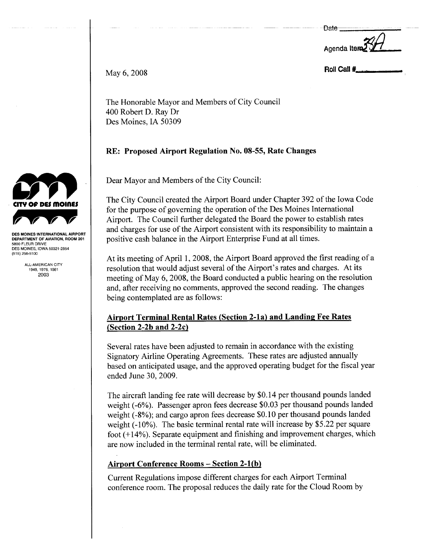**Date** 

Agenda Iter

May  $6, 2008$  Roll Call  $\ddagger$ 

The Honorable Mayor and Members of City Council 400 Robert D. Ray Dr Des Moines, IA 50309

# RE: Proposed Airport Regulation No. 08-55, Rate Changes

Dear Mayor and Members of the City Council:

The City Council created the Airport Board under Chapter 392 of the Iowa Code for the purpose of governing the operation of the Des Moines International Airport. The Council further delegated the Board the power to establish rates and charges for use of the Airport consistent with its responsibility to maintain a positive cash balance in the Airport Enterprise Fund at all times.

At its meeting of April 1, 2008, the Airport Board approved the first reading of a resolution that would adjust several of the Airport's rates and charges. At its meeting of May 6, 2008, the Board conducted a public hearing on the resolution and, after receiving no comments, approved the second reading. The changes being contemplated are as follows:

# Airport Terminal Rental Rates (Section 2-1a) and Landing Fee Rates (Section 2-2b and 2-2c)

Several rates have been adjusted to remain in accordance with the existing Signatory Airline Operating Agreements. These rates are adjusted anually based on anticipated usage, and the approved operating budget for the fiscal year ended June 30, 2009.

The aircraft landing fee rate will decrease by \$0.14 per thousand pounds landed weight (-6%). Passenger apron fees decrease \$0.03 per thousand pounds landed weight (-8%); and cargo apron fees decrease \$0.10 per thousand pounds landed weight  $(-10\%)$ . The basic terminal rental rate will increase by \$5.22 per square foot  $(+14%)$ . Separate equipment and finishing and improvement charges, which are now included in the terminal rental rate, will be eliminated.

# Airport Conference Rooms - Section 2-l(b)

Current Regulations impose different charges for each Airport Terminal conference room. The proposal reduces the daily rate for the Cloud Room by



DES MOINES INTERNATIONAL AIRPORT DEPARTMENT OF AVIATION, ROOM 201 5800 FLEUR DRIVE DES MOINES, IOWA 50321-2854 (515) 256-5100

> ALL-AMERICAN CITY 1949,1976,1981 2003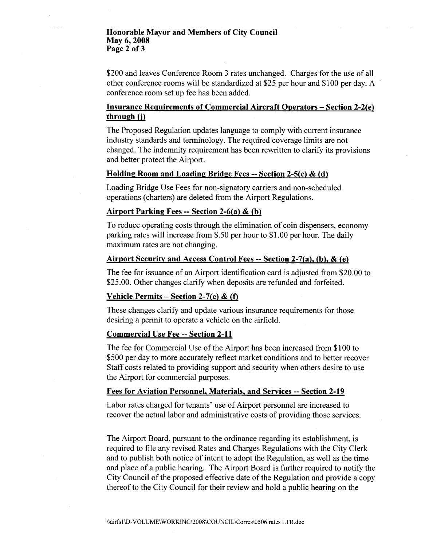### Honorable Mayor and Members of City Council May 6, 2008 Page 2 of 3

\$200 and leaves Conference Room 3 rates unchanged. Charges for the use of all other conference rooms will be standardized at \$25 per hour and \$100 per day. A conference room set up fee has been added.

## Insurance Requirements of Commercial Aircraft Operators - Section 2-2(e) through (j)

The Proposed Regulation updates language to comply with current insurance industry standards and terminology. The required coverage limits are not changed. The indemnity requirement has been rewritten to clarify its provisions and better protect the Airport.

### Holding Room and Loading Bridge Fees -- Section 2-5(c) & (d)

Loading Bridge Use Fees for non-signatory cariers and non-scheduled operations (charters) are deleted from the Airport Regulations.

### Airport Parking Fees -- Section 2-6(a)  $\&$  (b)

To reduce operating costs through the elimination of coin dispensers, economy parking rates will increase from \$.50 per hour to \$1.00 per hour. The daily maximum rates are not changing.

### Airport Security and Access Control Fees -- Section 2-7(a). (b). & (e)

The fee for issuance of an Airport identification card is adjusted from \$20.00 to \$25.00. Other changes clarify when deposits are refunded and forfeited.

### Vehicle Permits – Section 2-7(e) & (f)

These changes clarify and update various insurance requirements for those desiring a permit to operate a vehicle on the airfield.

### Commercial Use Fee -- Section 2-11

The fee for Commercial Use of the Airport has been increased from \$100 to \$500 per day to more accurately reflect market conditions and to better recover Staff costs related to providing support and security when others desire to use the Airport for commercial purposes.

#### Fees for Aviation Personnel. Materials. and Services -- Section 2-19

Labor rates charged for tenants' use of Airport personnel are increased to recover the actual labor and administrative costs of providing those services.

The Airport Board, pursuant to the ordinance regarding its establishment, is required to file any revised Rates and Charges Regulations with the City Clerk and to publish both notice of intent to adopt the Regulation, as well as the time and place of a public hearing. The Airport Board is further required to notify the City Council of the proposed effective date of the Regulation and provide a copy thereof to the City Council for their review and hold a public hearing on the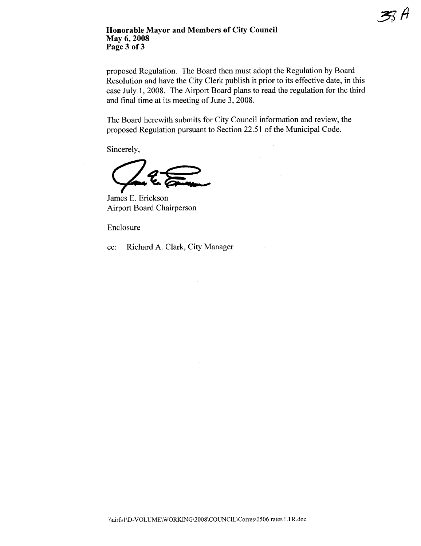### Honorable Mayor and Members of City Council May 6, 2008 Page 3 of 3

proposed Regulation. The Board then must adopt the Regulation by Board Resolution and have the City Clerk publish it prior to its effective date, in this case July 1, 2008. The Airport Board plans to read the regulation for the third and final time at its meeting of June 3, 2008.

The Board herewith submits for City Council information and review, the proposed Regulation pursuant to Section 22.51 of the Municipal Code.

Sincerely,

James E. Erickson **Airport Board Chairperson** 

Enclosure

Richard A. Clark, City Manager cc: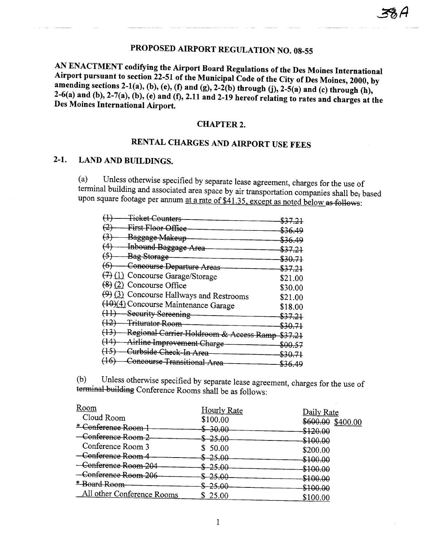# PROPOSED AIRPORT REGULATION NO. 08-55

AN ENACTMENT codifying the Airport Board Regulations of the Des Moines International Airport pursuant to section 22-51 of the Municipal Code of the City of Des Moines, 2000, by amending sections 2-1(a), (b), (e), (f) and (g), 2-2(b) through (j), 2-5(a) and (c) through (h), 2-6(a) and (b), 2-7(a), (b), (e) and (f), 2.11 and 2-19 hereof relating to rates and charges at the Des Moines International Airport.

### **CHAPTER 2.**

# RENTAL CHARGES AND AIRPORT USE FEES

#### $2-1.$ **LAND AND BUILDINGS.**

Unless otherwise specified by separate lease agreement, charges for the use of  $(a)$ terminal building and associated area space by air transportation companies shall be, based upon square footage per annum at a rate of \$41.35, except as noted below as follows:

|                   | <del>Ticket Counters</del>                           | \$37.21 |
|-------------------|------------------------------------------------------|---------|
| (2)               | First Floor Office                                   | \$36.49 |
| $\leftrightarrow$ | Baggage Makeup                                       | \$36.49 |
| (4)               | - Inbound Baggage Area                               | \$37.21 |
| $\leftrightarrow$ | <b>Bag Storage</b>                                   | \$30.71 |
|                   | (6) Concourse Departure Areas                        | \$37.21 |
|                   | $(7)$ (1) Concourse Garage/Storage                   | \$21.00 |
|                   | $(8)(2)$ Concourse Office                            | \$30.00 |
|                   | (9) (3) Concourse Hallways and Restrooms             | \$21.00 |
|                   | (10)(4) Concourse Maintenance Garage                 | \$18.00 |
|                   | (11) Security Sereening                              | \$37.21 |
|                   | (12) Triturator Room                                 | \$30.71 |
|                   | (13) Regional Carrier Holdroom & Access Ramp \$37.21 |         |
|                   | (14) Airline Improvement Charge                      | \$00.57 |
|                   | (15) Curbside Check-In Area                          | \$30.71 |
| $(+6)$            | Concourse Transitional Area                          | \$36.49 |

Unless otherwise specified by separate lease agreement, charges for the use of  $(b)$ terminal building Conference Rooms shall be as follows:

| Room                       | <b>Hourly Rate</b> | Daily Rate          |
|----------------------------|--------------------|---------------------|
| Cloud Room                 | \$100.00           | \$600.00 \$400.00   |
| * Conference Room-         | -30.00             | <del>\$120.00</del> |
| Conference Room 2          | <del>-25.00</del>  |                     |
| Conference Room 3          | 50.00              | <del>\$100.00</del> |
| Conference Room 4          | $$-25.00$          | \$200.00            |
| Conference Room 204        | $-25.00$           | \$100.00            |
| Conference Room 206        | $$-25.00$          | \$100.00            |
| * Board Room               |                    | \$100.00            |
| All other Conference Rooms | $-25.00$           | \$100.00            |
|                            | 25.00              | \$100.00            |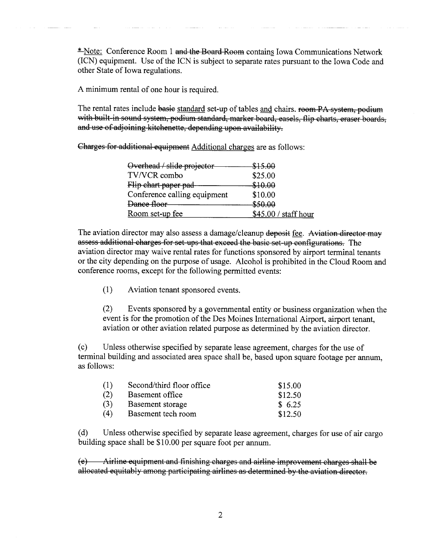\*Note: Conference Room 1 and the Board Room contains Iowa Communications Network (ICN) equipment. Use of the ICN is subject to separate rates pursuant to the Iowa Code and other State of Iowa regulations.

A minimum rental of one hour is required.

The rental rates include basie standard set-up of tables and chairs. room PA system, podium with built-in sound system, podium standard, marker board, easels, flip charts, eraser boards, and use of adjoining kitchenette, depending upon availability.

Charges for additional equipment Additional charges are as follows:

| Overhead / slide projector   | \$15.00               |
|------------------------------|-----------------------|
| TV/VCR combo                 | \$25.00               |
| Flip chart paper pad-        | \$10.00               |
| Conference calling equipment | \$10.00               |
| Dance floor                  | <del>\$50.00</del>    |
| Room set-up fee              | $$45.00 /$ staff hour |
|                              |                       |

The aviation director may also assess a damage/cleanup deposit fee. Aviation director may assess additional charges for set ups that exceed the basic set up confgurations. The aviation director may waive rental rates for functions sponsored by airport terminal tenants or the city depending on the purose of usage. Alcohol is prohibited in the Cloud Room and conference rooms, except for the following permitted events:

(1) Aviation tenant sponsored events.

(2) Events sponsored by a governental entity or business organization when the event is for the promotion of the Des Moines International Airport, airport tenant, aviation or other aviation related purose as determined by the aviation director.

(c) Unless otherwise specified by separate lease agreement, charges for the use of terminal building and associated area space shall be, based upon square footage per anum, as follows:

| (1) | Second/third floor office | \$15.00 |
|-----|---------------------------|---------|
| (2) | Basement office           | \$12.50 |
| (3) | Basement storage          | \$6.25  |
| (4) | Basement tech room        | \$12.50 |

(d) Unless otherwise specified by separate lease agreement, charges for use of air cargo building space shall be \$10.00 per square foot per anum.

( e) ..\irline equipment and finishing charges and airline improyement charges shall be allocated equitably among participating airlines as determined by the ayiation director.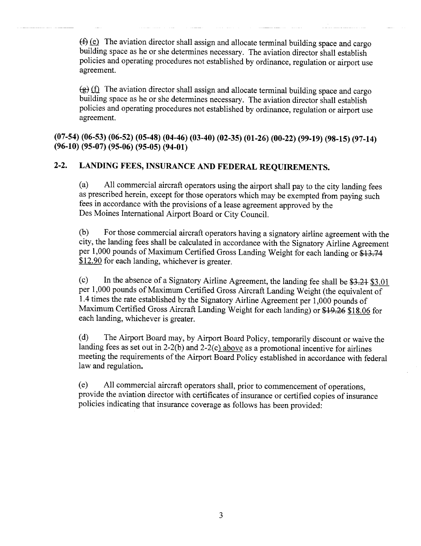$(f)$  (e) The aviation director shall assign and allocate terminal building space and cargo building space as he or she determines necessary. The aviation director shall establish policies and operating procedures not established by ordinance, regulation or airport use agreement.

 $\left(\frac{1}{2}\right)$  The aviation director shall assign and allocate terminal building space and cargo building space as he or she determines necessary. The aviation director shall establish policies and operating procedures not established by ordinance, regulation or airport use agreement.

(07-54) (06-53) (06-52) (05-48) (04-46) (03-40) (02-35) (01-26) (00-22) (99-19) (98-15) (97-14) (96-10) (95-07) (95-06) (95-05) (94-01)

# 2-2. LANDING FEES, INSURANCE AND FEDERAL REQUIREMENTS.

(a) All commercial aircraft operators using the airport shall pay to the city landing fees as prescribed herein, except for those operators which may be exempted from paying such fees in accordance with the provisions of a lease agreement approved by the Des Moines International Airport Board or City CounciL.

(b) For those commercial aircraft operators having a signatory airline agreement with the city, the landing fees shall be calculated in accordance with the Signatory Airline Agreement per 1,000 pounds of Maximum Certified Gross Landing Weight for each landing or \$13.71 \$12.90 for each landing, whichever is greater.

(c) In the absence of a Signatory Airline Agreement, the landing fee shall be  $$3.21$  \$3.01 per 1,000 pounds of Maximum Certified Gross Aircraft Landing Weight (the equivalent of 1.4 times the rate established by the Signatory Airline Agreement per 1,000 pounds of Maximum Certified Gross Aircraft Landing Weight for each landing) or \$19.26 \$18.06 for each landing, whichever is greater.

(d) The Airport Board may, by Airport Board Policy, temporarily discount or waive the landing fees as set out in 2-2(b) and 2-2(c) above as a promotional incentive for airlines meeting the requirements of the Airport Board Policy established in accordance with federal law and regulation.

(e) All commercial aircraft operators shall, prior to commencement of operations, provide the aviation director with certificates of insurance or certified copies of insurance policies indicating that insurance coverage as follows has been provided: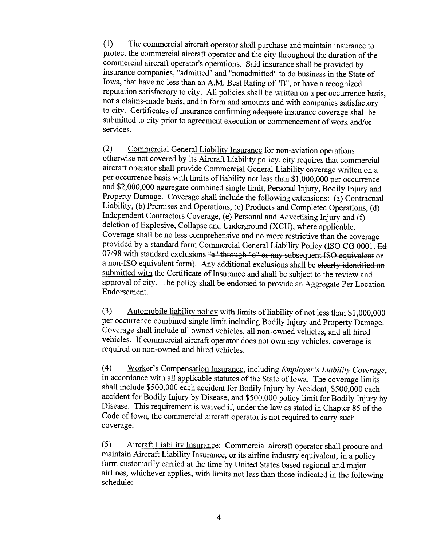(1) The commercial aircraft operator shall purchase and maintain insurance to protect the commercial aircraft operator and the city throughout the duration of the commercial aircraft operator's operations. Said insurance shall be provided by insurance companies, "admitted" and "nonadmitted" to do business in the State of Iowa, that have no less than an A.M. Best Rating of "B", or have a recognized reputation satisfactory to city. All policies shall be written on a per occurence basis, not a claims-made basis, and in form and amounts and with companies satisfactory to city. Certificates of Insurance confirming adequate insurance coverage shall be submitted to city prior to agreement execution or commencement of work and/or services.

(2) Commercial General Liability Insurance for non-aviation operations otherwise not covered by its Aircraft Liability policy, city requires that commercial aircraft operator shall provide Commercial General Liability coverage written on a per occurence basis with limits of liability not less than \$1,000,000 per occurence and \$2,000,000 aggregate combined single limit, Personal Injury, Bodily Injury and Property Damage. Coverage shall include the following extensions: (a) Contractual Liability, (b) Premises and Operations, (c) Products and Completed Operations, (d) Independent Contractors Coverage, (e) Personal and Advertising Injury and (f) deletion of Explosive, Collapse and Underground (XCU), where applicable. Coverage shall be no less comprehensive and no more restrictive than the coverage provided by a standard form Commercial General Liability Policy (ISO CG 0001. Bà  $07/98$  with standard exclusions "a" through "o" or any subsequent ISO equivalent or a non-ISO equivalent form). Any additional exclusions shall be clearly identified on submitted with the Certificate of Insurance and shall be subject to the review and approval of city. The policy shall be endorsed to provide an Aggregate Per Location Endorsement.

(3) Automobile liability policy with limits of liability of not less than \$1,000,000 per occurrence combined single limit including Bodily Injury and Property Damage. Coverage shall include all owned vehicles, all non-owned vehicles, and all hired vehicles. If commercial aircraft operator does not own any vehicles, coverage is required on non-owned and hired vehicles.

(4) Worker's Compensation Insurance, including *Employer's Liability Coverage*, in accordance with all applicable statutes of the State of Iowa. The coverage limits shall include \$500,000 each accident for Bodily Injury by Accident, \$500,000 each accident for Bodily Injury by Disease, and \$500,000 policy limit for Bodily Injury by Disease. This requirement is waived if, under the law as stated in Chapter 85 of the Code of Iowa, the commercial aircraft operator is not required to cary such coverage.

(5) Aircraft Liability Insurance: Commercial aircraft operator shall procure and maintain Aircraft Liability Insurance, or its airline industry equivalent, in a policy form customarily carried at the time by United States based regional and major airlines, whichever applies, with limits not less than those indicated in the following schedule: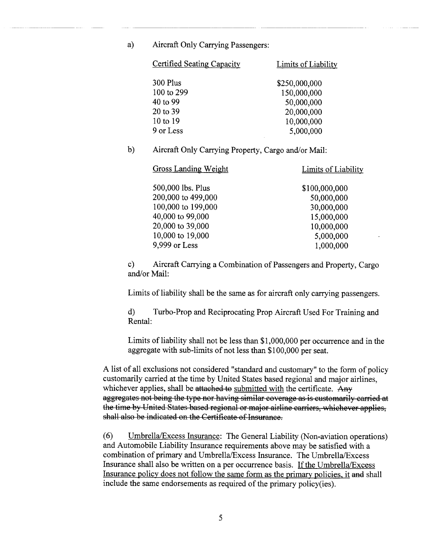a) Aircraft Only Carrying Passengers:

| Limits of Liability |  |  |
|---------------------|--|--|
| \$250,000,000       |  |  |
| 150,000,000         |  |  |
| 50,000,000          |  |  |
| 20,000,000          |  |  |
| 10,000,000          |  |  |
| 5,000,000           |  |  |
|                     |  |  |

b) Aircraft Only Carrying Property, Cargo and/or Mail:

Gross Landing Weight Limits of Liability

500,000 lbs. Plus 200,000 to 499,000 100,000 to 199,000 40,000 to 99,000 20,000 to 39,000 10,000 to 19,000 9,999 or Less \$100,000,000 50,000,000 30,000,000 15,000,000 10,000,000 5,000,000 1,000,000

c) Aircraft Carrying a Combination of Passengers and Property, Cargo and/or Mail:

Limits of liability shall be the same as for aircraft only carrying passengers.

d) Turbo-Prop and Reciprocating Prop Aircraft Used For Training and Rental:

Limits of liability shall not be less than \$1,000,000 per occurrence and in the aggregate with sub-limits of not less than \$100,000 per seat.

A list of all exclusions not considered "standard and customary" to the form of policy customarily carried at the time by United States based regional and major airlines, whichever applies, shall be attached to submitted with the certificate. Any aggregates not being the type nor having similar coverage as is customarily carried at the time by United States based regional or major airline carriers, whichever applies, shall also be indicated on the Certificate of Insurance.

(6) Umbrella/Excess Insurance: The General Liability (Non-aviation operations) and Automobile Liability Insurance requirements above may be satisfied with a combination of primary and Umbrella/Excess Insurance. The Umbrella/Excess Insurance shall also be written on a per occurrence basis. If the Umbrella/Excess Insurance policy does not follow the same form as the primary policies, it and shall include the same endorsements as required of the primary policy(ies).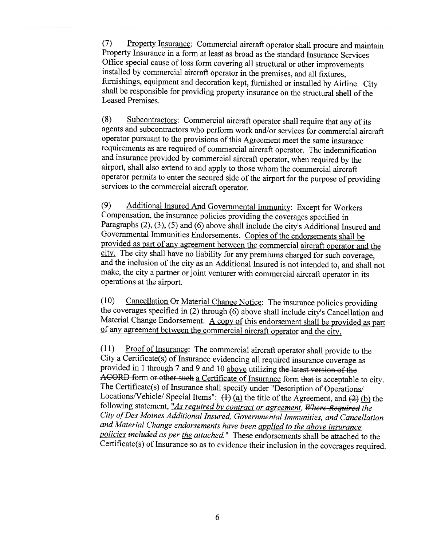(7) Property Insurance: Commercial aircraft operator shall procure and maintain Property Insurance in a form at least as broad as the stadard Insurance Services Office special cause of loss form covering all structural or other improvements installed by commercial aircraft operator in the premises, and all fixtues, furnishings, equipment and decoration kept, furnished or installed by Airline. City shall be responsible for providing property insurance on the structural shell of the Leased Premises.

(8) Subcontractors: Commercial aircraft operator shall require that any of its agents and subcontractors who perform work and/or services for commercial aircraft operator pursuant to the provisions of this Agreement meet the same insurance requirements as are required of commercial aircraft operator. The indemnification and insurance provided by commercial aircraft operator, when required by the airport, shall also extend to and apply to those whom the commercial aircraft operator permits to enter the secured side of the airport for the purpose of providing services to the commercial aircraft operator.

(9) Additional Insured And Governental Immunity: Except for Workers Compensation, the insurance policies providing the coverages specified in Paragraphs (2), (3), (5) and (6) above shall include the city's Additional Insured and Governental Immunities Endorsements. Copies of the endorsements shall be provided as part of any agreement between the commercial aircraft operator and the city. The city shall have no liability for any premiums charged for such coverage, and the inclusion of the city as an Additional Insured is not intended to, and shall not make, the city a parner or joint venturer with commercial aircraft operator in its operations at the airport.

(10) Cancellation Or Material Change Notice: The insurance policies providing the coverages specified in (2) through (6) above shall include city's Cancellation and Material Change Endorsement. A copy of this endorsement shall be provided as part of any agreement between the commercial aircraft operator and the city.

 $(11)$  Proof of Insurance: The commercial aircraft operator shall provide to the City a Certificate(s) of Insurance evidencing all required insurance coverage as provided in 1 through 7 and 9 and 10 above utilizing the latest version of the ACORD form or other such a Certificate of Insurance form that is acceptable to city. The Certificate(s) of Insurance shall specify under "Description of Operations/ Locations/Vehicle/ Special Items":  $\overline{(4)}$  (a) the title of the Agreement, and  $\overline{(2)}$  (b) the following statement, "As required by contract or agreement. Where Required the City of Des Moines Additional Insured, Governmental Immunities, and Cancellation and Material Change endorsements have been applied to the above insurance policies included as per the attached." These endorsements shall be attached to the Certificate(s) of Insurance so as to evidence their inclusion in the coverages required.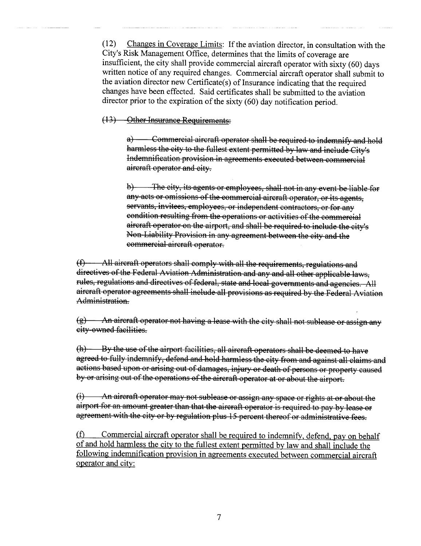(12) Changes in Coverage Limits: If the aviation director, in consultation with the City's Risk Management Office, determines that the limits of coverage are insufficient, the city shall provide commercial aircraft operator with sixty (60) days written notice of any required changes. Commercial aircraft operator shall submit to the aviation director new Certificate( s) of Insurance indicating that the required changes have been effected. Said certificates shall be submitted to the aviation director prior to the expiration of the sixty (60) day notification period.

### (13) Other Insurance Requirements:

a) Commercial aircraft operator shall be required to indemnify and hold harmless the city to the fullest extent permitted by law and include City's Indemnification provision in agreements executed between commercial aireraft operator and city.

b) The city, its agents or employees, shall not in any event be liable for any acts or omissions of the commercial aircraft operator, or its agents, servants, invitees, employees, or independent contractors, or for any condition resulting from the operations or activities of the commereial aircraft operator on the airport, and shall be required to include the city's Non Liability Provision in any agreement between the city and the commercial aircraft operator.

 $(f)$   $\longrightarrow$  All aircraft operators shall comply with all the requirements, regulations and directives of the Federal Aviation Administration and any and all other applicable laws, rules, regulations and directives of federal, state and local governments and agencies. All aireraft operator agreements shall inelude all proyisions as required by the Federal Ayiation Administration.

 $(g)$  ... An aircraft operator not having a lease with the city shall not sublease or assign any city owned facilities.

(h) By the use of the airport facilities, all aircraft operators shall be deemed to have agreed to fully indemnify, defend and hold harmless the city from and against all claims and actions based upon or arising out of damages, injury or death of persons or property caused by or arising out of the operations of the aircraft operator at or about the airport.

 $(i)$  ... An aircraft operator may not sublease or assign any space or rights at or about the airport for an amount greater than that the aircraft operator is required to pay by lease or agreement with the city or by regulation plus 15 percent thereof or administrative fees.

(f) Commercial aircraft operator shall be required to indemnify, defend, pay on behalf of and hold harmless the city to the fullest extent permitted by law and shall include the following indemnification provision in agreements executed between commercial aircraft operator and city: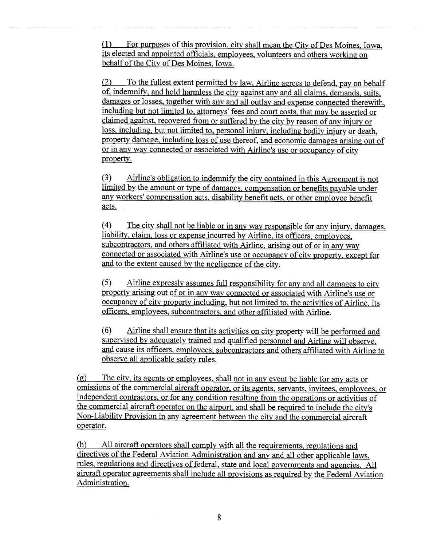(1) For purposes of this provision, city shall mean the City of Des Moines, Iowa, its elected and appointed officials, employees, volunteers and others working on behalf of the City of Des Moines, Iowa.

(2) To the fullest extent permitted by law, Airline agrees to defend, pay on behalf of, indemnify, and hold harmless the city against any and all claims, demands, suits, damages or losses, together with any and all outlay and expense connected therewith, including but not limited to, attorneys' fees and court costs, that may be asserted or claimed against, recovered from or suffered by the city by reason of any injury or loss, including, but not limited to, personal injury, including bodily injury or death, property damage, including loss of use thereof, and economic damages arising out of or in any way connected or associated with Airline's use or occupancy of city property.

(3) Airline's obligation to indemnify the city contained in this Agreement is not limited by the amount or type of damages, compensation or benefits payable under any workers' compensation acts, disability benefit acts, or other employee benefit acts.

(4) The city shall not be liable or in any way responsible for any injury, damages, liability, claim, loss or expense incurred by Airline, its officers, employees, subcontractors, and others affliated with Airline, arising out of or in any way connected or associated with Airline's use or occupancy of city property, except for and to the extent caused by the negligence of the city.

(5) Airline expressly assumes full responsibility for any and all damages to city property arising out of or in any way connected or associated with Airline's use or occupancy of city property including, but not limited to, the activities of Airline, its officers, employees, subcontractors, and other affiliated with Airline.

(6) Airline shall ensure that its activities on city property will be performed and supervised by adequately trained and qualified personnel and Airline will observe, and cause its officers, employees, subcontractors and others affiliated with Airline to observe all applicable safety rules.

(g) The city, its agents or employees, shall not in any event be liable for any acts or omissions of the commercial aircraft operator, or its agents, servants, invitees, employees, or independent contractors, or for any condition resulting from the operations or activities of the commercial aircraft operator on the airport, and shall be required to include the city's Non-Liability Provision in any agreement between the city and the commercial aircraft operator.

(h) All aircraft operators shall comply with all the requirements, regulations and directives of the Federal Aviation Administration and any and all other applicable laws, rules, regulations and directives of federal, state and local governments and agencies. All aircraft operator agreements shall include all provisions as required by the Federal Aviation Administration.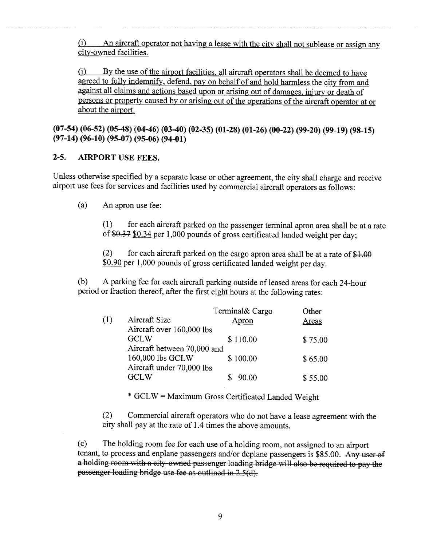$(i)$  An aircraft operator not having a lease with the city shall not sublease or assign any city-owned facilities.

(j) By the use of the airport facilities, all aircraft operators shall be deemed to have agreed to fully indemnify, defend, pay on behalf of and hold harmless the city from and against all claims and actions based upon or arising out of damages, injury or death of persons or property caused by or arising out of the operations of the aircraft operator at or about the airport.

(07-54) (06-52) (05-48) (04-46) (03-40) (02-35) (01-28) (01-26) (00-22) (99-20) (99-19) (98-15) (97-14) (96-10) (95-07) (95-06) (94-01)

## 2-5. AIRPORT USE FEES.

Unless otherwise specified by a separate lease or other agreement, the city shall charge and receive airport use fees for services and facilities used by commercial aircraft operators as follows:

(a) An apron use fee:

(1 ) for each aircraft parked on the passenger terminal apron area shall be at a rate of  $$0.37$   $$0.34$  per 1,000 pounds of gross certificated landed weight per day;

(2) for each aircraft parked on the cargo apron area shall be at a rate of  $$1.00$ \$0.90 per 1,000 pounds of gross certificated landed weight per day.

(b) A parking fee for each aircraft parking outside of leased areas for each 24-hour period or fraction thereof, after the first eight hours at the following rates:

|     |                             | Terminal& Cargo | Other   |
|-----|-----------------------------|-----------------|---------|
| (1) | Aircraft Size               | Apron           | Areas   |
|     | Aircraft over 160,000 lbs   |                 |         |
|     | <b>GCLW</b>                 | \$110.00        | \$75.00 |
|     | Aircraft between 70,000 and |                 |         |
|     | 160,000 lbs GCLW            | \$100.00        | \$65.00 |
|     | Aircraft under 70,000 lbs   |                 |         |
|     | <b>GCLW</b>                 | 90.00           | \$55.00 |
|     |                             |                 |         |

\* GCL W = Maximum Gross Certificated Landed Weight

(2) Commercial aircraft operators who do not have a lease agreement with the city shall pay at the rate of 1.4 times the above amounts.

(c) The holding room fee for each use of a holding room, not assigned to an airport tenant, to process and enplane passengers and/or deplane passengers is \$85.00. Any user of a holding room with a city-owned passenger loading bridge will also be required to pay the passenger loading bridge use fee as outlined in 2.5(d).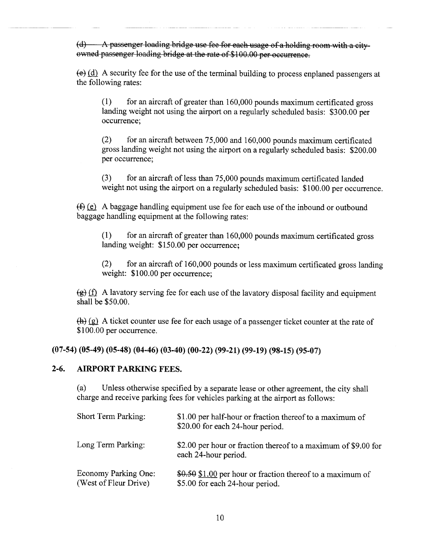$(d)$   $\longrightarrow$  A passenger loading bridge use fee for each usage of a holding room with a cityowned passenger loading bridge at the rate of \$100.00 per occurrence.

 $\overline{(e)}$  (d) A security fee for the use of the terminal building to process enplaned passengers at the following rates:

(1) for an aircraft of greater than 160,000 pounds maximum certificated gross landing weight not using the airport on a regularly scheduled basis: \$300.00 per occurrence;

(2) for an aircraft between 75,000 and 160,000 pounds maximum certificated gross landing weight not using the airport on a regularly scheduled basis: \$200.00 per occurrence;

(3) for an aircraft of less than 75,000 pounds maximum certificated landed weight not using the airport on a regularly scheduled basis: \$100.00 per occurrence.

 $(f)$  (e) A baggage handling equipment use fee for each use of the inbound or outbound baggage handling equipment at the following rates:

(1) for an aircraft of greater than 160,000 pounds maximum certificated gross landing weight: \$150.00 per occurrence;

(2) for an aircraft of 160,000 pounds or less maximum certificated gross landing weight: \$100.00 per occurrence;

 $\left(\frac{g}{g}\right)(f)$  A lavatory serving fee for each use of the lavatory disposal facility and equipment shall be \$50.00.

 $(h)$  (g) A ticket counter use fee for each usage of a passenger ticket counter at the rate of \$100.00 per occurrence.

(07-54) (05-49) (05-48) (04-46) (03-40) (00-22) (99-21) (99-19) (98-15) (95-07)

### 2-6. AIRPORT PARKING FEES.

(a) Unless otherwise specified by a separate lease or other agreement, the city shall charge and receive parking fees for vehicles parking at the airport as follows:

| <b>Short Term Parking:</b>                    | \$1.00 per half-hour or fraction thereof to a maximum of<br>\$20.00 for each 24-hour period.  |
|-----------------------------------------------|-----------------------------------------------------------------------------------------------|
| Long Term Parking:                            | \$2.00 per hour or fraction thereof to a maximum of \$9.00 for<br>each 24-hour period.        |
| Economy Parking One:<br>(West of Fleur Drive) | \$0.50 \$1.00 per hour or fraction thereof to a maximum of<br>\$5.00 for each 24-hour period. |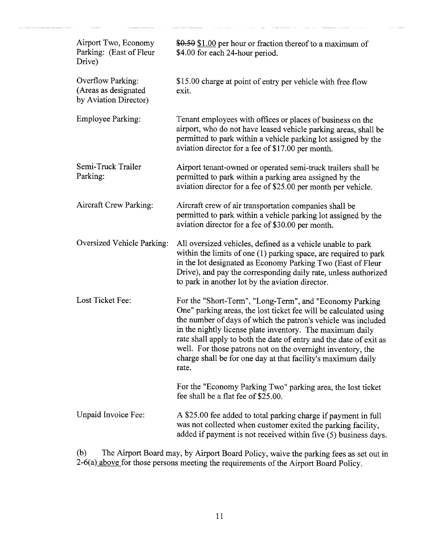| Airport Two, Economy<br>Parking: (East of Fleur<br>Drive)          | \$0.50 \$1.00 per hour or fraction thereof to a maximum of<br>\$4.00 for each 24-hour period.                                                                                                                                                                                                                                                                                                                                                                           |
|--------------------------------------------------------------------|-------------------------------------------------------------------------------------------------------------------------------------------------------------------------------------------------------------------------------------------------------------------------------------------------------------------------------------------------------------------------------------------------------------------------------------------------------------------------|
| Overflow Parking:<br>(Areas as designated<br>by Aviation Director) | \$15.00 charge at point of entry per vehicle with free flow<br>exit.                                                                                                                                                                                                                                                                                                                                                                                                    |
| <b>Employee Parking:</b>                                           | Tenant employees with offices or places of business on the<br>airport, who do not have leased vehicle parking areas, shall be<br>permitted to park within a vehicle parking lot assigned by the<br>aviation director for a fee of \$17.00 per month.                                                                                                                                                                                                                    |
| Semi-Truck Trailer<br>Parking:                                     | Airport tenant-owned or operated semi-truck trailers shall be<br>permitted to park within a parking area assigned by the<br>aviation director for a fee of \$25.00 per month per vehicle.                                                                                                                                                                                                                                                                               |
| <b>Aircraft Crew Parking:</b>                                      | Aircraft crew of air transportation companies shall be<br>permitted to park within a vehicle parking lot assigned by the<br>aviation director for a fee of \$30.00 per month.                                                                                                                                                                                                                                                                                           |
| Oversized Vehicle Parking:                                         | All oversized vehicles, defined as a vehicle unable to park<br>within the limits of one (1) parking space, are required to park<br>in the lot designated as Economy Parking Two (East of Fleur<br>Drive), and pay the corresponding daily rate, unless authorized<br>to park in another lot by the aviation director.                                                                                                                                                   |
| Lost Ticket Fee:                                                   | For the "Short-Term", "Long-Term", and "Economy Parking<br>One" parking areas, the lost ticket fee will be calculated using<br>the number of days of which the patron's vehicle was included<br>in the nightly license plate inventory. The maximum daily<br>rate shall apply to both the date of entry and the date of exit as<br>well. For those patrons not on the overnight inventory, the<br>charge shall be for one day at that facility's maximum daily<br>rate. |
|                                                                    | For the "Economy Parking Two" parking area, the lost ticket<br>fee shall be a flat fee of \$25.00.                                                                                                                                                                                                                                                                                                                                                                      |
| Unpaid Invoice Fee:                                                | A \$25.00 fee added to total parking charge if payment in full<br>was not collected when customer exited the parking facility,<br>added if payment is not received within five (5) business days.                                                                                                                                                                                                                                                                       |

(b) The Airport Board may, by Airport Board Policy, waive the parking fees as set out in 2-6(a) above for those persons meeting the requirements of the Airport Board Policy.